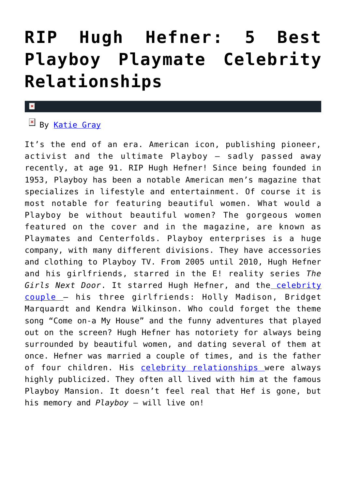## **[RIP Hugh Hefner: 5 Best](https://cupidspulse.com/121163/rip-hugh-hefner-5-best-playboy-playmate-celebrity-relationships/) [Playboy Playmate Celebrity](https://cupidspulse.com/121163/rip-hugh-hefner-5-best-playboy-playmate-celebrity-relationships/) [Relationships](https://cupidspulse.com/121163/rip-hugh-hefner-5-best-playboy-playmate-celebrity-relationships/)**

#### $\mathbf{x}$

### By [Katie Gray](http://cupidspulse.com/105088/katie-gray)

It's the end of an era. American icon, publishing pioneer, activist and the ultimate Playboy – sadly passed away recently, at age 91. RIP Hugh Hefner! Since being founded in 1953, Playboy has been a notable American men's magazine that specializes in lifestyle and entertainment. Of course it is most notable for featuring beautiful women. What would a Playboy be without beautiful women? The gorgeous women featured on the cover and in the magazine, are known as Playmates and Centerfolds. Playboy enterprises is a huge company, with many different divisions. They have accessories and clothing to Playboy TV. From 2005 until 2010, Hugh Hefner and his girlfriends, starred in the E! reality series *The Girls Next Door*. It starred Hugh Hefner, and the [celebrity](http://cupidspulse.com/celebrity-relationships/long-term-relationships-flings/) [couple](http://cupidspulse.com/celebrity-relationships/long-term-relationships-flings/) – his three girlfriends: Holly Madison, Bridget Marquardt and Kendra Wilkinson. Who could forget the theme song "Come on-a My House" and the funny adventures that played out on the screen? Hugh Hefner has notoriety for always being surrounded by beautiful women, and dating several of them at once. Hefner was married a couple of times, and is the father of four children. His [celebrity relationships](http://cupidspulse.com/celebrity-relationships/long-term-relationships-flings/) were always highly publicized. They often all lived with him at the famous Playboy Mansion. It doesn't feel real that Hef is gone, but his memory and *Playboy* – will live on!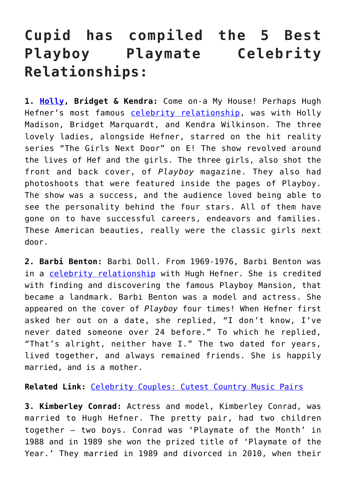### **Cupid has compiled the 5 Best Playboy Playmate Celebrity Relationships:**

**1. [Holly](http://cupidspulse.com/113836/holly-madison/), Bridget & Kendra:** Come on-a My House! Perhaps Hugh Hefner's most famous [celebrity relationship](http://cupidspulse.com/celebrity-relationships/long-term-relationships-flings/), was with Holly Madison, Bridget Marquardt, and Kendra Wilkinson. The three lovely ladies, alongside Hefner, starred on the hit reality series "The Girls Next Door" on E! The show revolved around the lives of Hef and the girls. The three girls, also shot the front and back cover, of *Playboy* magazine. They also had photoshoots that were featured inside the pages of Playboy. The show was a success, and the audience loved being able to see the personality behind the four stars. All of them have gone on to have successful careers, endeavors and families. These American beauties, really were the classic girls next door.

**2. Barbi Benton:** Barbi Doll. From 1969-1976, Barbi Benton was in a [celebrity relationship](http://cupidspulse.com/celebrity-relationships/long-term-relationships-flings/) with Hugh Hefner. She is credited with finding and discovering the famous Playboy Mansion, that became a landmark. Barbi Benton was a model and actress. She appeared on the cover of *Playboy* four times! When Hefner first asked her out on a date, she replied, "I don't know, I've never dated someone over 24 before." To which he replied, "That's alright, neither have I." The two dated for years, lived together, and always remained friends. She is happily married, and is a mother.

**Related Link:** [Celebrity Couples: Cutest Country Music Pairs](http://cupidspulse.com/120946/celebrity-couples-cutest-country-music-pairs/)

**3. Kimberley Conrad:** Actress and model, Kimberley Conrad, was married to Hugh Hefner. The pretty pair, had two children together – two boys. Conrad was 'Playmate of the Month' in 1988 and in 1989 she won the prized title of 'Playmate of the Year.' They married in 1989 and divorced in 2010, when their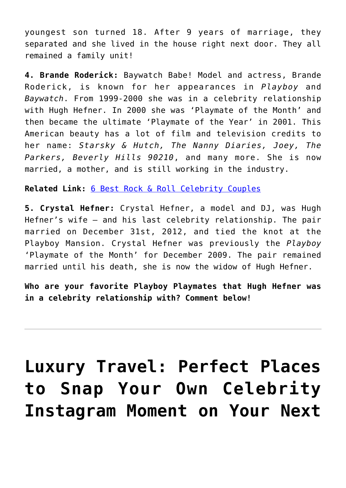youngest son turned 18. After 9 years of marriage, they separated and she lived in the house right next door. They all remained a family unit!

**4. Brande Roderick:** Baywatch Babe! Model and actress, Brande Roderick, is known for her appearances in *Playboy* and *Baywatch*. From 1999-2000 she was in a celebrity relationship with Hugh Hefner. In 2000 she was 'Playmate of the Month' and then became the ultimate 'Playmate of the Year' in 2001. This American beauty has a lot of film and television credits to her name: *Starsky & Hutch, The Nanny Diaries, Joey, The Parkers, Beverly Hills 90210*, and many more. She is now married, a mother, and is still working in the industry.

**Related Link:** [6 Best Rock & Roll Celebrity Couples](http://cupidspulse.com/119326/best-rock-roll-celebrity-couples/)

**5. Crystal Hefner:** Crystal Hefner, a model and DJ, was Hugh Hefner's wife – and his last celebrity relationship. The pair married on December 31st, 2012, and tied the knot at the Playboy Mansion. Crystal Hefner was previously the *Playboy* 'Playmate of the Month' for December 2009. The pair remained married until his death, she is now the widow of Hugh Hefner.

**Who are your favorite Playboy Playmates that Hugh Hefner was in a celebrity relationship with? Comment below!**

## **[Luxury Travel: Perfect Places](https://cupidspulse.com/119248/luxury-travel-perfect-places-celebrity-instagram-moment-vacation/) [to Snap Your Own Celebrity](https://cupidspulse.com/119248/luxury-travel-perfect-places-celebrity-instagram-moment-vacation/) [Instagram Moment on Your Next](https://cupidspulse.com/119248/luxury-travel-perfect-places-celebrity-instagram-moment-vacation/)**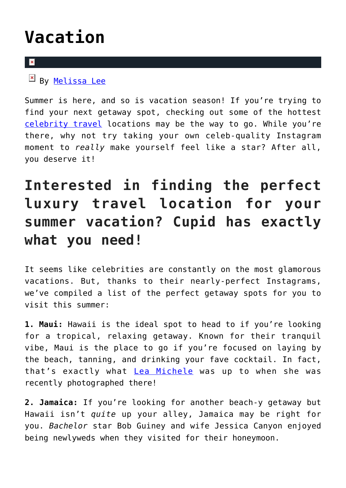## **[Vacation](https://cupidspulse.com/119248/luxury-travel-perfect-places-celebrity-instagram-moment-vacation/)**

### $\mathbf{x}$

By [Melissa Lee](http://cupidspulse.com/118747/melissa-lee/)

Summer is here, and so is vacation season! If you're trying to find your next getaway spot, checking out some of the hottest [celebrity travel](http://cupidspulse.com/travel/) locations may be the way to go. While you're there, why not try taking your own celeb-quality Instagram moment to *really* make yourself feel like a star? After all, you deserve it!

## **Interested in finding the perfect luxury travel location for your summer vacation? Cupid has exactly what you need!**

It seems like celebrities are constantly on the most glamorous vacations. But, thanks to their nearly-perfect Instagrams, we've compiled a list of the perfect getaway spots for you to visit this summer:

**1. Maui:** Hawaii is the ideal spot to head to if you're looking for a tropical, relaxing getaway. Known for their tranquil vibe, Maui is the place to go if you're focused on laying by the beach, tanning, and drinking your fave cocktail. In fact, that's exactly what [Lea Michele](http://cupidspulse.com/89075/lea-michele/) was up to when she was recently photographed there!

**2. Jamaica:** If you're looking for another beach-y getaway but Hawaii isn't *quite* up your alley, Jamaica may be right for you. *Bachelor* star Bob Guiney and wife Jessica Canyon enjoyed being newlyweds when they visited for their honeymoon.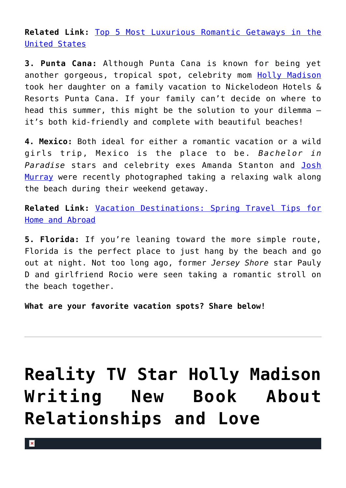**Related Link:** [Top 5 Most Luxurious Romantic Getaways in the](http://cupidspulse.com/118182/most-luxurious-romantic-getaways-united-states/) [United States](http://cupidspulse.com/118182/most-luxurious-romantic-getaways-united-states/)

**3. Punta Cana:** Although Punta Cana is known for being yet another gorgeous, tropical spot, celebrity mom [Holly Madison](http://cupidspulse.com/113836/holly-madison/) took her daughter on a family vacation to Nickelodeon Hotels & Resorts Punta Cana. If your family can't decide on where to head this summer, this might be the solution to your dilemma it's both kid-friendly and complete with beautiful beaches!

**4. Mexico:** Both ideal for either a romantic vacation or a wild girls trip, Mexico is the place to be. *Bachelor in Paradise* stars and celebrity exes Amanda Stanton and [Josh](http://cupidspulse.com/113015/josh-murray/) [Murray](http://cupidspulse.com/113015/josh-murray/) were recently photographed taking a relaxing walk along the beach during their weekend getaway.

**Related Link:** [Vacation Destinations: Spring Travel Tips for](http://cupidspulse.com/117965/vacation-destinations-spring-travel-tips-home-abroad/) [Home and Abroad](http://cupidspulse.com/117965/vacation-destinations-spring-travel-tips-home-abroad/)

**5. Florida:** If you're leaning toward the more simple route, Florida is the perfect place to just hang by the beach and go out at night. Not too long ago, former *Jersey Shore* star Pauly D and girlfriend Rocio were seen taking a romantic stroll on the beach together.

**What are your favorite vacation spots? Share below!**

# **[Reality TV Star Holly Madison](https://cupidspulse.com/100033/reality-star-holly-madison-new-book-relationships-love/) [Writing New Book About](https://cupidspulse.com/100033/reality-star-holly-madison-new-book-relationships-love/) [Relationships and Love](https://cupidspulse.com/100033/reality-star-holly-madison-new-book-relationships-love/)**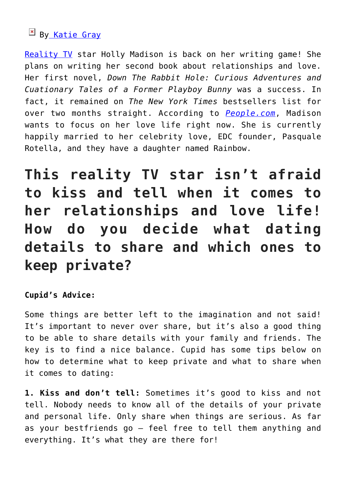### **EX B[y Katie Gray](http://cupidspulse.com/105088/katie-gray/)**

[Reality TV](http://cupidspulse.com/reality-tv-couples/) star Holly Madison is back on her writing game! She plans on writing her second book about relationships and love. Her first novel, *Down The Rabbit Hole: Curious Adventures and Cuationary Tales of a Former Playboy Bunny* was a success. In fact, it remained on *The New York Times* bestsellers list for over two months straight. According to *[People.com](http://www.usmagazine.com/celebrity-news/news/holly-madison-writing-second-book-about-relationships-2015249)*, Madison wants to focus on her love life right now. She is currently happily married to her celebrity love, EDC founder, Pasquale Rotella, and they have a daughter named Rainbow.

**This reality TV star isn't afraid to kiss and tell when it comes to her relationships and love life! How do you decide what dating details to share and which ones to keep private?**

### **Cupid's Advice:**

Some things are better left to the imagination and not said! It's important to never over share, but it's also a good thing to be able to share details with your family and friends. The key is to find a nice balance. Cupid has some tips below on how to determine what to keep private and what to share when it comes to dating:

**1. Kiss and don't tell:** Sometimes it's good to kiss and not tell. Nobody needs to know all of the details of your private and personal life. Only share when things are serious. As far as your bestfriends go – feel free to tell them anything and everything. It's what they are there for!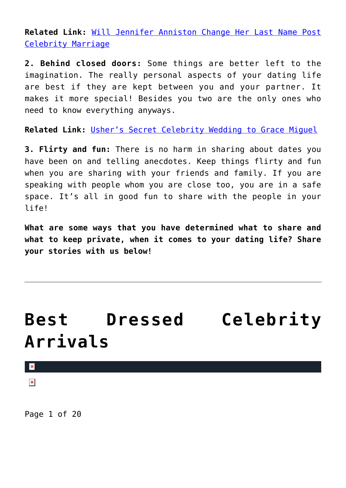**Related Link:** [Will Jennifer Anniston Change Her Last Name Post](http://cupidspulse.com/99993/jennifer-aniston-change-her-name-post-celebrity-marriage-justin-theroux/) [Celebrity Marriage](http://cupidspulse.com/99993/jennifer-aniston-change-her-name-post-celebrity-marriage-justin-theroux/)

**2. Behind closed doors:** Some things are better left to the imagination. The really personal aspects of your dating life are best if they are kept between you and your partner. It makes it more special! Besides you two are the only ones who need to know everything anyways.

**Related Link:** [Usher's Secret Celebrity Wedding to Grace Miguel](http://cupidspulse.com/99997/celebrity-wedding-usher-marries-grace-miguel/)

**3. Flirty and fun:** There is no harm in sharing about dates you have been on and telling anecdotes. Keep things flirty and fun when you are sharing with your friends and family. If you are speaking with people whom you are close too, you are in a safe space. It's all in good fun to share with the people in your life!

**What are some ways that you have determined what to share and what to keep private, when it comes to your dating life? Share your stories with us below!**

## **[Best Dressed Celebrity](https://cupidspulse.com/95750/best-dressed-celebrity-arrivals/) [Arrivals](https://cupidspulse.com/95750/best-dressed-celebrity-arrivals/)**

 $\pmb{\times}$ 

 $\pmb{\times}$ 

Page 1 of 20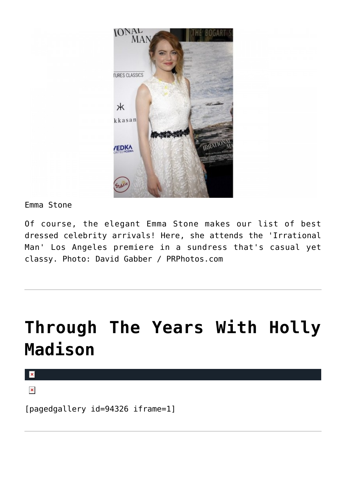

Emma Stone

Of course, the elegant Emma Stone makes our list of best dressed celebrity arrivals! Here, she attends the 'Irrational Man' Los Angeles premiere in a sundress that's casual yet classy. Photo: David Gabber / PRPhotos.com

## **[Through The Years With Holly](https://cupidspulse.com/94855/through-the-years-with-holly-madison/) [Madison](https://cupidspulse.com/94855/through-the-years-with-holly-madison/)**

 $\pmb{\times}$ 

 $\pmb{\times}$ 

[pagedgallery id=94326 iframe=1]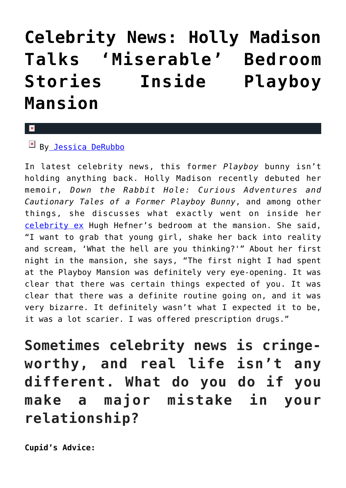## **[Celebrity News: Holly Madison](https://cupidspulse.com/94405/celebrity-news-holly-madison-bedroom-stories-playboy-mansion/) [Talks 'Miserable' Bedroom](https://cupidspulse.com/94405/celebrity-news-holly-madison-bedroom-stories-playboy-mansion/) [Stories Inside Playboy](https://cupidspulse.com/94405/celebrity-news-holly-madison-bedroom-stories-playboy-mansion/) [Mansion](https://cupidspulse.com/94405/celebrity-news-holly-madison-bedroom-stories-playboy-mansion/)**

### $\mathbf{R}$

B[y Jessica DeRubbo](http://cupidspulse.com/104599/jessica-derubbo/)

In latest celebrity news, this former *Playboy* bunny isn't holding anything back. Holly Madison recently debuted her memoir, *Down the Rabbit Hole: Curious Adventures and Cautionary Tales of a Former Playboy Bunny*, and among other things, she discusses what exactly went on inside her [celebrity ex](http://cupidspulse.com/celebrity-relationships/break-up-divorce/) Hugh Hefner's bedroom at the mansion. She said, "I want to grab that young girl, shake her back into reality and scream, 'What the hell are you thinking?'" About her first night in the mansion, she says, "The first night I had spent at the Playboy Mansion was definitely very eye-opening. It was clear that there was certain things expected of you. It was clear that there was a definite routine going on, and it was very bizarre. It definitely wasn't what I expected it to be, it was a lot scarier. I was offered prescription drugs."

**Sometimes celebrity news is cringeworthy, and real life isn't any different. What do you do if you make a major mistake in your relationship?**

**Cupid's Advice:**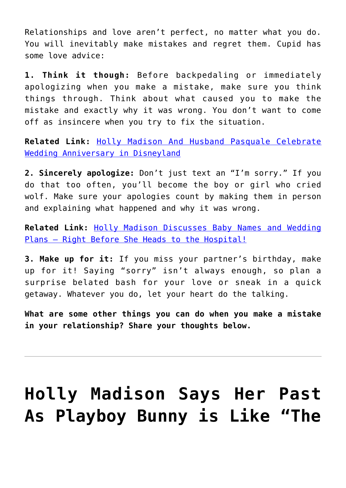Relationships and love aren't perfect, no matter what you do. You will inevitably make mistakes and regret them. Cupid has some love advice:

**1. Think it though:** Before backpedaling or immediately apologizing when you make a mistake, make sure you think things through. Think about what caused you to make the mistake and exactly why it was wrong. You don't want to come off as insincere when you try to fix the situation.

**Related Link:** [Holly Madison And Husband Pasquale Celebrate](http://cupidspulse.com/80201/holly-madison-husband-pasquale-celebrate-wedding-anniversary-disneyland/) [Wedding Anniversary in Disneyland](http://cupidspulse.com/80201/holly-madison-husband-pasquale-celebrate-wedding-anniversary-disneyland/)

**2. Sincerely apologize:** Don't just text an "I'm sorry." If you do that too often, you'll become the boy or girl who cried wolf. Make sure your apologies count by making them in person and explaining what happened and why it was wrong.

**Related Link:** [Holly Madison Discusses Baby Names and Wedding](http://cupidspulse.com/45992/holly-madison-baby-wedding/) Plans – Right Before She Heads to the Hospital!

**3. Make up for it:** If you miss your partner's birthday, make up for it! Saying "sorry" isn't always enough, so plan a surprise belated bash for your love or sneak in a quick getaway. Whatever you do, let your heart do the talking.

**What are some other things you can do when you make a mistake in your relationship? Share your thoughts below.**

# **[Holly Madison Says Her Past](https://cupidspulse.com/94278/holly-madison-playboy-bunny-hugh-hefner-memoir/) [As Playboy Bunny is Like "The](https://cupidspulse.com/94278/holly-madison-playboy-bunny-hugh-hefner-memoir/)**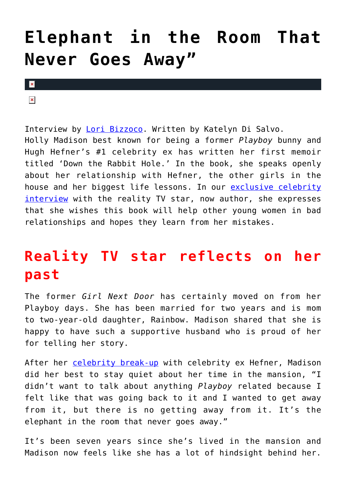## **[Elephant in the Room That](https://cupidspulse.com/94278/holly-madison-playboy-bunny-hugh-hefner-memoir/) [Never Goes Away"](https://cupidspulse.com/94278/holly-madison-playboy-bunny-hugh-hefner-memoir/)**

 $\pmb{\times}$ 

 $\pmb{\times}$ 

Interview by [Lori Bizzoco.](http://cupidspulse.com/104596/lori-bizzoco/) Written by Katelyn Di Salvo. Holly Madison best known for being a former *Playboy* bunny and Hugh Hefner's #1 celebrity ex has written her first memoir titled 'Down the Rabbit Hole.' In the book, she speaks openly about her relationship with Hefner, the other girls in the house and her biggest life lessons. In our [exclusive celebrity](http://cupidspulse.com/exclusives/celebrity-interviews/) [interview](http://cupidspulse.com/exclusives/celebrity-interviews/) with the reality TV star, now author, she expresses that she wishes this book will help other young women in bad relationships and hopes they learn from her mistakes.

### **Reality TV star reflects on her past**

The former *Girl Next Door* has certainly moved on from her Playboy days. She has been married for two years and is mom to two-year-old daughter, Rainbow. Madison shared that she is happy to have such a supportive husband who is proud of her for telling her story.

After her [celebrity break-up](http://cupidspulse.com/celebrity-relationships/) with celebrity ex Hefner, Madison did her best to stay quiet about her time in the mansion, "I didn't want to talk about anything *Playboy* related because I felt like that was going back to it and I wanted to get away from it, but there is no getting away from it. It's the elephant in the room that never goes away."

It's been seven years since she's lived in the mansion and Madison now feels like she has a lot of hindsight behind her.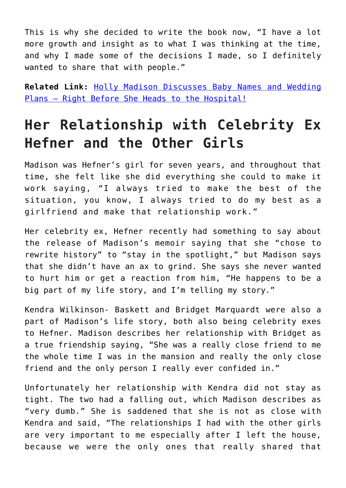This is why she decided to write the book now, "I have a lot more growth and insight as to what I was thinking at the time, and why I made some of the decisions I made, so I definitely wanted to share that with people."

**Related Link:** [Holly Madison Discusses Baby Names and Wedding](http://cupidspulse.com/45992/holly-madison-baby-wedding/#j9eFwAmiqMs8mIqE.99) Plans – Right Before She Heads to the Hospital!

### **Her Relationship with Celebrity Ex Hefner and the Other Girls**

Madison was Hefner's girl for seven years, and throughout that time, she felt like she did everything she could to make it work saying, "I always tried to make the best of the situation, you know, I always tried to do my best as a girlfriend and make that relationship work."

Her celebrity ex, Hefner recently had something to say about the release of Madison's memoir saying that she "chose to rewrite history" to "stay in the spotlight," but Madison says that she didn't have an ax to grind. She says she never wanted to hurt him or get a reaction from him, "He happens to be a big part of my life story, and I'm telling my story."

Kendra Wilkinson- Baskett and Bridget Marquardt were also a part of Madison's life story, both also being celebrity exes to Hefner. Madison describes her relationship with Bridget as a true friendship saying, "She was a really close friend to me the whole time I was in the mansion and really the only close friend and the only person I really ever confided in."

Unfortunately her relationship with Kendra did not stay as tight. The two had a falling out, which Madison describes as "very dumb." She is saddened that she is not as close with Kendra and said, "The relationships I had with the other girls are very important to me especially after I left the house, because we were the only ones that really shared that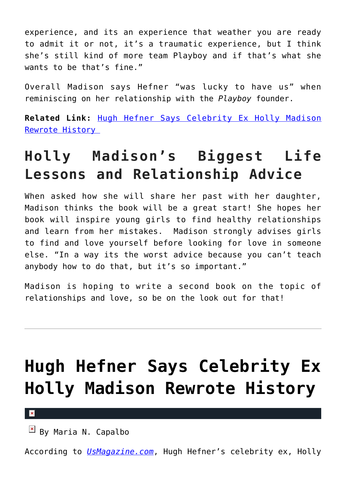experience, and its an experience that weather you are ready to admit it or not, it's a traumatic experience, but I think she's still kind of more team Playboy and if that's what she wants to be that's fine."

Overall Madison says Hefner "was lucky to have us" when reminiscing on her relationship with the *Playboy* founder.

**Related Link:** [Hugh Hefner Says Celebrity Ex Holly Madison](http://cupidspulse.com/94243/hugh-hefner-celebrity-ex-holly-madison-rewrote-history/) [Rewrote History](http://cupidspulse.com/94243/hugh-hefner-celebrity-ex-holly-madison-rewrote-history/) 

## **Holly Madison's Biggest Life Lessons and Relationship Advice**

When asked how she will share her past with her daughter, Madison thinks the book will be a great start! She hopes her book will inspire young girls to find healthy relationships and learn from her mistakes. Madison strongly advises girls to find and love yourself before looking for love in someone else. "In a way its the worst advice because you can't teach anybody how to do that, but it's so important."

Madison is hoping to write a second book on the topic of relationships and love, so be on the look out for that!

# **[Hugh Hefner Says Celebrity Ex](https://cupidspulse.com/94243/hugh-hefner-celebrity-ex-holly-madison-rewrote-history/) [Holly Madison Rewrote History](https://cupidspulse.com/94243/hugh-hefner-celebrity-ex-holly-madison-rewrote-history/)**

#### $\mathbf{x}$

By Maria N. Capalbo

According to *[UsMagazine.com](http://www.usmagazine.com/celebrity-news/news/hugh-hefner-responds-to-ex-holly-madisons-shocking-tell-all-2015216)*, Hugh Hefner's celebrity ex, Holly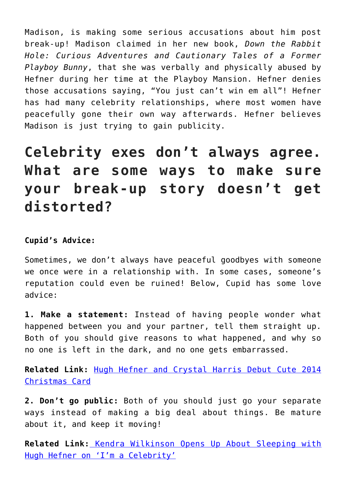Madison, is making some serious accusations about him post break-up! Madison claimed in her new book, *Down the Rabbit Hole: Curious Adventures and Cautionary Tales of a Former Playboy Bunny*, that she was verbally and physically abused by Hefner during her time at the Playboy Mansion. Hefner denies those accusations saying, "You just can't win em all"! Hefner has had many celebrity relationships, where most women have peacefully gone their own way afterwards. Hefner believes Madison is just trying to gain publicity.

**Celebrity exes don't always agree. What are some ways to make sure your break-up story doesn't get distorted?**

### **Cupid's Advice:**

Sometimes, we don't always have peaceful goodbyes with someone we once were in a relationship with. In some cases, someone's reputation could even be ruined! Below, Cupid has some love advice:

**1. Make a statement:** Instead of having people wonder what happened between you and your partner, tell them straight up. Both of you should give reasons to what happened, and why so no one is left in the dark, and no one gets embarrassed.

**Related Link:** [Hugh Hefner and Crystal Harris Debut Cute 2014](http://cupidspulse.com/84268/hugh-hefner-and-crystal-harris-christmas-card/#lRf7FhLZHrt0zSYG.99) [Christmas Card](http://cupidspulse.com/84268/hugh-hefner-and-crystal-harris-christmas-card/#lRf7FhLZHrt0zSYG.99)

**2. Don't go public:** Both of you should just go your separate ways instead of making a big deal about things. Be mature about it, and keep it moving!

**Related Link:** [Kendra Wilkinson Opens Up About Sleeping with](http://cupidspulse.com/83711/kendra-wilkinson-opens-up-sleeping-hugh-hefner-im-a-celebrity/#gm3cJOfcybLxw7GA.99) [Hugh Hefner on 'I'm a Celebrity'](http://cupidspulse.com/83711/kendra-wilkinson-opens-up-sleeping-hugh-hefner-im-a-celebrity/#gm3cJOfcybLxw7GA.99)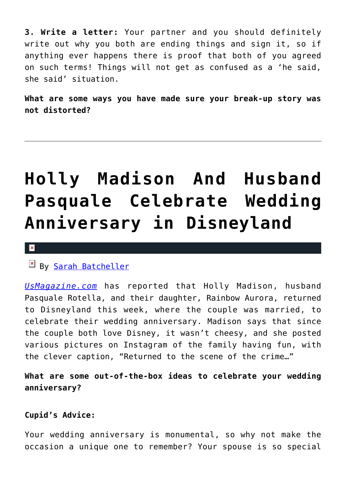**3. Write a letter:** Your partner and you should definitely write out why you both are ending things and sign it, so if anything ever happens there is proof that both of you agreed on such terms! Things will not get as confused as a 'he said, she said' situation.

**What are some ways you have made sure your break-up story was not distorted?**

# **[Holly Madison And Husband](https://cupidspulse.com/80201/holly-madison-husband-pasquale-celebrate-wedding-anniversary-disneyland/) [Pasquale Celebrate Wedding](https://cupidspulse.com/80201/holly-madison-husband-pasquale-celebrate-wedding-anniversary-disneyland/) [Anniversary in Disneyland](https://cupidspulse.com/80201/holly-madison-husband-pasquale-celebrate-wedding-anniversary-disneyland/)**

#### x

### By [Sarah Batcheller](http://cupidspulse.com/104594/sarah-batcheller/)

*[UsMagazine.com](http://www.usmagazine.com/celebrity-news/news/holly-madison-pasquale-rotella-celebrate-anniversary-at-disneyland-201489)* has reported that Holly Madison, husband Pasquale Rotella, and their daughter, Rainbow Aurora, returned to Disneyland this week, where the couple was married, to celebrate their wedding anniversary. Madison says that since the couple both love Disney, it wasn't cheesy, and she posted various pictures on Instagram of the family having fun, with the clever caption, "Returned to the scene of the crime…"

**What are some out-of-the-box ideas to celebrate your wedding anniversary?**

#### **Cupid's Advice:**

Your wedding anniversary is monumental, so why not make the occasion a unique one to remember? Your spouse is so special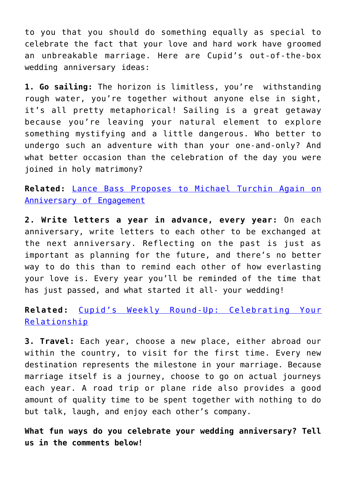to you that you should do something equally as special to celebrate the fact that your love and hard work have groomed an unbreakable marriage. Here are Cupid's out-of-the-box wedding anniversary ideas:

**1. Go sailing:** The horizon is limitless, you're withstanding rough water, you're together without anyone else in sight, it's all pretty metaphorical! Sailing is a great getaway because you're leaving your natural element to explore something mystifying and a little dangerous. Who better to undergo such an adventure with than your one-and-only? And what better occasion than the celebration of the day you were joined in holy matrimony?

**Related:** [Lance Bass Proposes to Michael Turchin Again on](http://cupidspulse.com/79902/lance-bass-proposes-michael-turchin-engagement-anniversary/) [Anniversary of Engagement](http://cupidspulse.com/79902/lance-bass-proposes-michael-turchin-engagement-anniversary/)

**2. Write letters a year in advance, every year:** On each anniversary, write letters to each other to be exchanged at the next anniversary. Reflecting on the past is just as important as planning for the future, and there's no better way to do this than to remind each other of how everlasting your love is. Every year you'll be reminded of the time that has just passed, and what started it all- your wedding!

**Related:** [Cupid's Weekly Round-Up: Celebrating Your](http://cupidspulse.com/68388/cupids-weekly-round-up-celebrating-your-relationship/) [Relationship](http://cupidspulse.com/68388/cupids-weekly-round-up-celebrating-your-relationship/)

**3. Travel:** Each year, choose a new place, either abroad our within the country, to visit for the first time. Every new destination represents the milestone in your marriage. Because marriage itself is a journey, choose to go on actual journeys each year. A road trip or plane ride also provides a good amount of quality time to be spent together with nothing to do but talk, laugh, and enjoy each other's company.

**What fun ways do you celebrate your wedding anniversary? Tell us in the comments below!**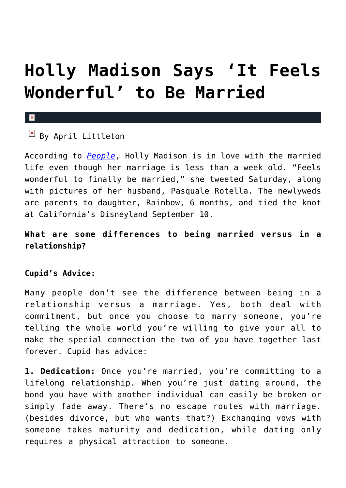## **[Holly Madison Says 'It Feels](https://cupidspulse.com/57970/holly-madison-married/) [Wonderful' to Be Married](https://cupidspulse.com/57970/holly-madison-married/)**

#### x

 $\boxed{\times}$  By April Littleton

According to *[People](http://www.people.com/people/article/0,,20735258,00.html)*, Holly Madison is in love with the married life even though her marriage is less than a week old. "Feels wonderful to finally be married," she tweeted Saturday, along with pictures of her husband, Pasquale Rotella. The newlyweds are parents to daughter, Rainbow, 6 months, and tied the knot at California's Disneyland September 10.

**What are some differences to being married versus in a relationship?**

### **Cupid's Advice:**

Many people don't see the difference between being in a relationship versus a marriage. Yes, both deal with commitment, but once you choose to marry someone, you're telling the whole world you're willing to give your all to make the special connection the two of you have together last forever. Cupid has advice:

**1. Dedication:** Once you're married, you're committing to a lifelong relationship. When you're just dating around, the bond you have with another individual can easily be broken or simply fade away. There's no escape routes with marriage. (besides divorce, but who wants that?) Exchanging vows with someone takes maturity and dedication, while dating only requires a physical attraction to someone.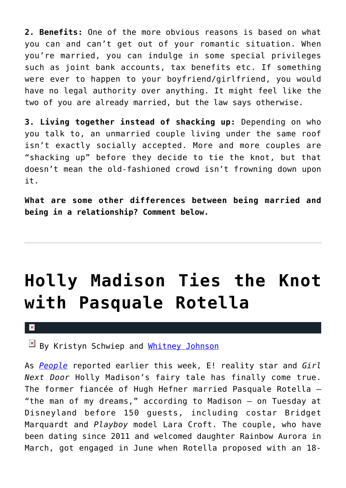**2. Benefits:** One of the more obvious reasons is based on what you can and can't get out of your romantic situation. When you're married, you can indulge in some special privileges such as joint bank accounts, tax benefits etc. If something were ever to happen to your boyfriend/girlfriend, you would have no legal authority over anything. It might feel like the two of you are already married, but the law says otherwise.

**3. Living together instead of shacking up:** Depending on who you talk to, an unmarried couple living under the same roof isn't exactly socially accepted. More and more couples are "shacking up" before they decide to tie the knot, but that doesn't mean the old-fashioned crowd isn't frowning down upon it.

**What are some other differences between being married and being in a relationship? Comment below.**

# **[Holly Madison Ties the Knot](https://cupidspulse.com/57697/holly-madison-pasquale-rotella-marry-disneyland/) [with Pasquale Rotella](https://cupidspulse.com/57697/holly-madison-pasquale-rotella-marry-disneyland/)**

#### $\pmb{\times}$

By Kristyn Schwiep and [Whitney Johnson](http://cupidspulse.com/104601/whitney-johnson/)

As *[People](http://www.people.com/people/article/0,,20733106,00.html)* reported earlier this week, E! reality star and *Girl Next Door* Holly Madison's fairy tale has finally come true. The former fiancée of Hugh Hefner married Pasquale Rotella — "the man of my dreams," according to Madison — on Tuesday at Disneyland before 150 guests, including costar Bridget Marquardt and *Playboy* model Lara Croft. The couple, who have been dating since 2011 and welcomed daughter Rainbow Aurora in March, got engaged in June when Rotella proposed with an 18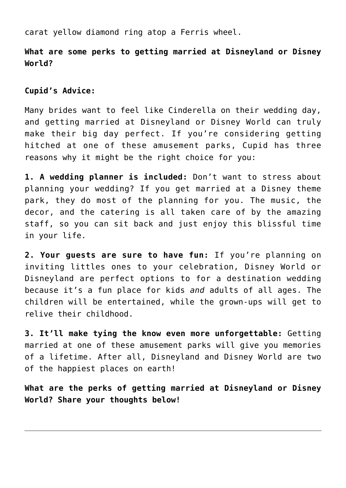carat yellow diamond ring atop a Ferris wheel.

**What are some perks to getting married at Disneyland or Disney World?**

**Cupid's Advice:**

Many brides want to feel like Cinderella on their wedding day, and getting married at Disneyland or Disney World can truly make their big day perfect. If you're considering getting hitched at one of these amusement parks, Cupid has three reasons why it might be the right choice for you:

**1. A wedding planner is included:** Don't want to stress about planning your wedding? If you get married at a Disney theme park, they do most of the planning for you. The music, the decor, and the catering is all taken care of by the amazing staff, so you can sit back and just enjoy this blissful time in your life.

**2. Your guests are sure to have fun:** If you're planning on inviting littles ones to your celebration, Disney World or Disneyland are perfect options to for a destination wedding because it's a fun place for kids *and* adults of all ages. The children will be entertained, while the grown-ups will get to relive their childhood.

**3. It'll make tying the know even more unforgettable:** Getting married at one of these amusement parks will give you memories of a lifetime. After all, Disneyland and Disney World are two of the happiest places on earth!

**What are the perks of getting married at Disneyland or Disney World? Share your thoughts below!**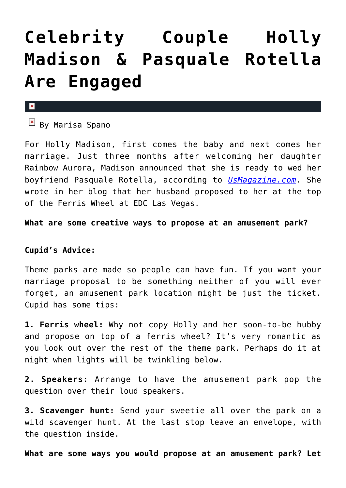## **[Celebrity Couple Holly](https://cupidspulse.com/53039/holly-madison-engaged-pasquale-rotella/) [Madison & Pasquale Rotella](https://cupidspulse.com/53039/holly-madison-engaged-pasquale-rotella/) [Are Engaged](https://cupidspulse.com/53039/holly-madison-engaged-pasquale-rotella/)**

#### x

 $\boxed{\times}$  By Marisa Spano

For Holly Madison, first comes the baby and next comes her marriage. Just three months after welcoming her daughter Rainbow Aurora, Madison announced that she is ready to wed her boyfriend Pasquale Rotella, according to *[UsMagazine.com](http://www.usmagazine.com/celebrity-news/news/holly-madison-engaged-to-pasquale-rotella-see-her-ring-2013256)*. She wrote in her blog that her husband proposed to her at the top of the Ferris Wheel at EDC Las Vegas.

**What are some creative ways to propose at an amusement park?** 

### **Cupid's Advice:**

Theme parks are made so people can have fun. If you want your marriage proposal to be something neither of you will ever forget, an amusement park location might be just the ticket. Cupid has some tips:

**1. Ferris wheel:** Why not copy Holly and her soon-to-be hubby and propose on top of a ferris wheel? It's very romantic as you look out over the rest of the theme park. Perhaps do it at night when lights will be twinkling below.

**2. Speakers:** Arrange to have the amusement park pop the question over their loud speakers.

**3. Scavenger hunt:** Send your sweetie all over the park on a wild scavenger hunt. At the last stop leave an envelope, with the question inside.

**What are some ways you would propose at an amusement park? Let**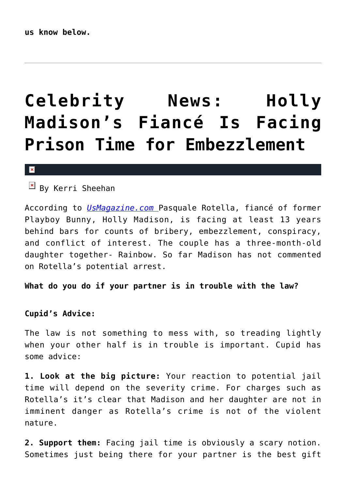# **[Celebrity News: Holly](https://cupidspulse.com/49769/holly-madison-fiance-facing-prison-embezzlement/) [Madison's Fiancé Is Facing](https://cupidspulse.com/49769/holly-madison-fiance-facing-prison-embezzlement/) [Prison Time for Embezzlement](https://cupidspulse.com/49769/holly-madison-fiance-facing-prison-embezzlement/)**

#### x

 $\boxed{\times}$  By Kerri Sheehan

According to *[UsMagazine.com](http://www.usmagazine.com/celebrity-news/news/holly-madisons-fiance-facing-13-years-in-prison-2013145)* Pasquale Rotella, fiancé of former Playboy Bunny, Holly Madison, is facing at least 13 years behind bars for counts of bribery, embezzlement, conspiracy, and conflict of interest. The couple has a three-month-old daughter together- Rainbow. So far Madison has not commented on Rotella's potential arrest.

**What do you do if your partner is in trouble with the law?**

### **Cupid's Advice:**

The law is not something to mess with, so treading lightly when your other half is in trouble is important. Cupid has some advice:

**1. Look at the big picture:** Your reaction to potential jail time will depend on the severity crime. For charges such as Rotella's it's clear that Madison and her daughter are not in imminent danger as Rotella's crime is not of the violent nature.

**2. Support them:** Facing jail time is obviously a scary notion. Sometimes just being there for your partner is the best gift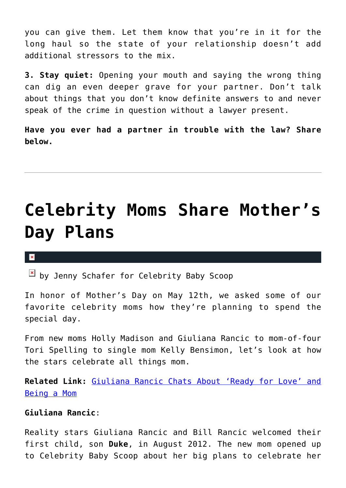you can give them. Let them know that you're in it for the long haul so the state of your relationship doesn't add additional stressors to the mix.

**3. Stay quiet:** Opening your mouth and saying the wrong thing can dig an even deeper grave for your partner. Don't talk about things that you don't know definite answers to and never speak of the crime in question without a lawyer present.

**Have you ever had a partner in trouble with the law? Share below.** 

## **[Celebrity Moms Share Mother's](https://cupidspulse.com/49116/star-moms-share-mothers-day-plans/) [Day Plans](https://cupidspulse.com/49116/star-moms-share-mothers-day-plans/)**

#### $\mathbf{R}$

 $\boxed{\times}$  by Jenny Schafer for Celebrity Baby Scoop

In honor of Mother's Day on May 12th, we asked some of our favorite celebrity moms how they're planning to spend the special day.

From new moms Holly Madison and Giuliana Rancic to mom-of-four Tori Spelling to single mom Kelly Bensimon, let's look at how the stars celebrate all things mom.

**Related Link:** [Giuliana Rancic Chats About 'Ready for Love' and](http://cupidspulse.com/giuliana-rancic-ready-for-love-marriage-parenthood/) [Being a Mom](http://cupidspulse.com/giuliana-rancic-ready-for-love-marriage-parenthood/)

### **Giuliana Rancic**:

Reality stars Giuliana Rancic and Bill Rancic welcomed their first child, son **Duke**, in August 2012. The new mom opened up to Celebrity Baby Scoop about her big plans to celebrate her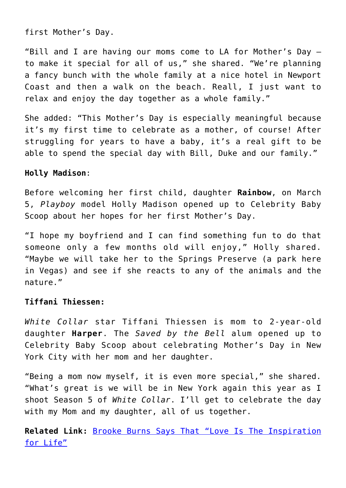first Mother's Day.

"Bill and I are having our moms come to LA for Mother's Day to make it special for all of us," she shared. "We're planning a fancy bunch with the whole family at a nice hotel in Newport Coast and then a walk on the beach. Reall, I just want to relax and enjoy the day together as a whole family."

She added: "This Mother's Day is especially meaningful because it's my first time to celebrate as a mother, of course! After struggling for years to have a baby, it's a real gift to be able to spend the special day with Bill, Duke and our family."

### **Holly Madison**:

Before welcoming her first child, daughter **Rainbow**, on March 5, *Playboy* model Holly Madison opened up to Celebrity Baby Scoop about her hopes for her first Mother's Day.

"I hope my boyfriend and I can find something fun to do that someone only a few months old will enjoy," Holly shared. "Maybe we will take her to the Springs Preserve (a park here in Vegas) and see if she reacts to any of the animals and the nature."

### **Tiffani Thiessen:**

*White Collar* star Tiffani Thiessen is mom to 2-year-old daughter **Harper**. The *Saved by the Bell* alum opened up to Celebrity Baby Scoop about celebrating Mother's Day in New York City with her mom and her daughter.

"Being a mom now myself, it is even more special," she shared. "What's great is we will be in New York again this year as I shoot Season 5 of *White Collar*. I'll get to celebrate the day with my Mom and my daughter, all of us together.

**Related Link:** [Brooke Burns Says That "Love Is The Inspiration](http://cupidspulse.com/brooke-burns-says-love-is-inspiration-for-life/) [for Life"](http://cupidspulse.com/brooke-burns-says-love-is-inspiration-for-life/)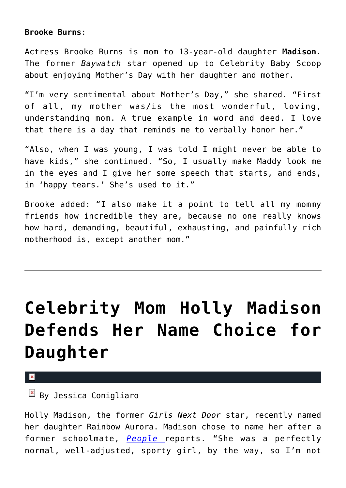### **Brooke Burns**:

Actress Brooke Burns is mom to 13-year-old daughter **Madison**. The former *Baywatch* star opened up to Celebrity Baby Scoop about enjoying Mother's Day with her daughter and mother.

"I'm very sentimental about Mother's Day," she shared. "First of all, my mother was/is the most wonderful, loving, understanding mom. A true example in word and deed. I love that there is a day that reminds me to verbally honor her."

"Also, when I was young, I was told I might never be able to have kids," she continued. "So, I usually make Maddy look me in the eyes and I give her some speech that starts, and ends, in 'happy tears.' She's used to it."

Brooke added: "I also make it a point to tell all my mommy friends how incredible they are, because no one really knows how hard, demanding, beautiful, exhausting, and painfully rich motherhood is, except another mom."

# **[Celebrity Mom Holly Madison](https://cupidspulse.com/46272/holly-madison-defends-name-choice-daughter/) [Defends Her Name Choice for](https://cupidspulse.com/46272/holly-madison-defends-name-choice-daughter/) [Daughter](https://cupidspulse.com/46272/holly-madison-defends-name-choice-daughter/)**

#### $\pmb{\times}$

### $\overline{\mathbb{F}}$  By Jessica Conigliaro

Holly Madison, the former *Girls Next Door* star, recently named her daughter Rainbow Aurora. Madison chose to name her after a former schoolmate, *[People](http://celebritybabies.people.com/2013/03/10/holly-madison-daughter-rainbow-name-trauma/)* reports. "She was a perfectly normal, well-adjusted, sporty girl, by the way, so I'm not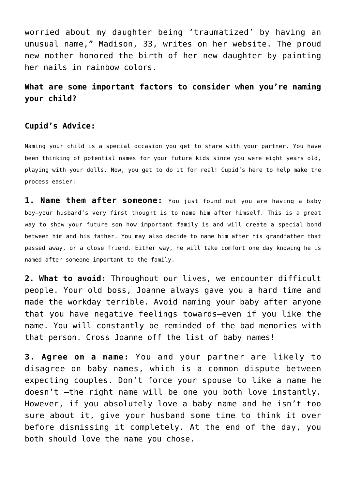worried about my daughter being 'traumatized' by having an unusual name," Madison, 33, writes on her website. The proud new mother honored the birth of her new daughter by painting her nails in rainbow colors.

**What are some important factors to consider when you're naming your child?**

### **Cupid's Advice:**

Naming your child is a special occasion you get to share with your partner. You have been thinking of potential names for your future kids since you were eight years old, playing with your dolls. Now, you get to do it for real! Cupid's here to help make the process easier:

**1. Name them after someone:** You just found out you are having a baby boy–your husband's very first thought is to name him after himself. This is a great way to show your future son how important family is and will create a special bond between him and his father. You may also decide to name him after his grandfather that passed away, or a close friend. Either way, he will take comfort one day knowing he is named after someone important to the family.

**2. What to avoid:** Throughout our lives, we encounter difficult people. Your old boss, Joanne always gave you a hard time and made the workday terrible. Avoid naming your baby after anyone that you have negative feelings towards–even if you like the name. You will constantly be reminded of the bad memories with that person. Cross Joanne off the list of baby names!

**3. Agree on a name:** You and your partner are likely to disagree on baby names, which is a common dispute between expecting couples. Don't force your spouse to like a name he doesn't –the right name will be one you both love instantly. However, if you absolutely love a baby name and he isn't too sure about it, give your husband some time to think it over before dismissing it completely. At the end of the day, you both should love the name you chose.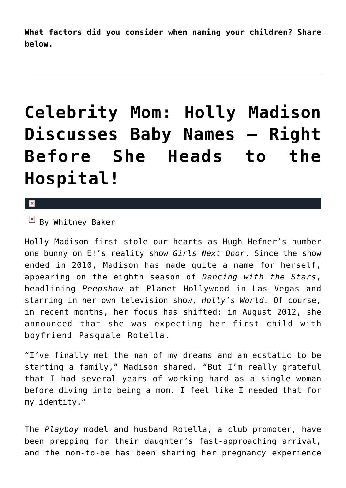**What factors did you consider when naming your children? Share below.**

# **[Celebrity Mom: Holly Madison](https://cupidspulse.com/45992/holly-madison-baby-wedding/) [Discusses Baby Names — Right](https://cupidspulse.com/45992/holly-madison-baby-wedding/) [Before She Heads to the](https://cupidspulse.com/45992/holly-madison-baby-wedding/) [Hospital!](https://cupidspulse.com/45992/holly-madison-baby-wedding/)**

### $\mathbf{x}$

 $\boxed{\times}$  By Whitney Baker

Holly Madison first stole our hearts as Hugh Hefner's number one bunny on E!'s reality show *Girls Next Door*. Since the show ended in 2010, Madison has made quite a name for herself, appearing on the eighth season of *Dancing with the Stars*, headlining *Peepshow* at Planet Hollywood in Las Vegas and starring in her own television show, *Holly's World*. Of course, in recent months, her focus has shifted: in August 2012, she announced that she was expecting her first child with boyfriend Pasquale Rotella.

"I've finally met the man of my dreams and am ecstatic to be starting a family," Madison shared. "But I'm really grateful that I had several years of working hard as a single woman before diving into being a mom. I feel like I needed that for my identity."

The *Playboy* model and husband Rotella, a club promoter, have been prepping for their daughter's fast-approaching arrival, and the mom-to-be has been sharing her pregnancy experience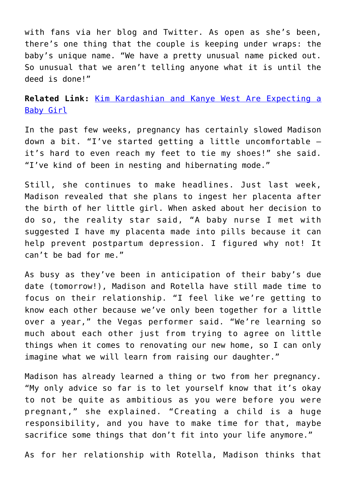with fans via her blog and Twitter. As open as she's been, there's one thing that the couple is keeping under wraps: the baby's unique name. "We have a pretty unusual name picked out. So unusual that we aren't telling anyone what it is until the deed is done!"

**Related Link:** [Kim Kardashian and Kanye West Are Expecting a](http://cupidspulse.com/kim-kardashian-and-kanye-west-are-expecting-a-baby-girl/) [Baby Girl](http://cupidspulse.com/kim-kardashian-and-kanye-west-are-expecting-a-baby-girl/)

In the past few weeks, pregnancy has certainly slowed Madison down a bit. "I've started getting a little uncomfortable it's hard to even reach my feet to tie my shoes!" she said. "I've kind of been in nesting and hibernating mode."

Still, she continues to make headlines. Just last week, Madison revealed that she plans to ingest her placenta after the birth of her little girl. When asked about her decision to do so, the reality star said, "A baby nurse I met with suggested I have my placenta made into pills because it can help prevent postpartum depression. I figured why not! It can't be bad for me."

As busy as they've been in anticipation of their baby's due date (tomorrow!), Madison and Rotella have still made time to focus on their relationship. "I feel like we're getting to know each other because we've only been together for a little over a year," the Vegas performer said. "We're learning so much about each other just from trying to agree on little things when it comes to renovating our new home, so I can only imagine what we will learn from raising our daughter."

Madison has already learned a thing or two from her pregnancy. "My only advice so far is to let yourself know that it's okay to not be quite as ambitious as you were before you were pregnant," she explained. "Creating a child is a huge responsibility, and you have to make time for that, maybe sacrifice some things that don't fit into your life anymore."

As for her relationship with Rotella, Madison thinks that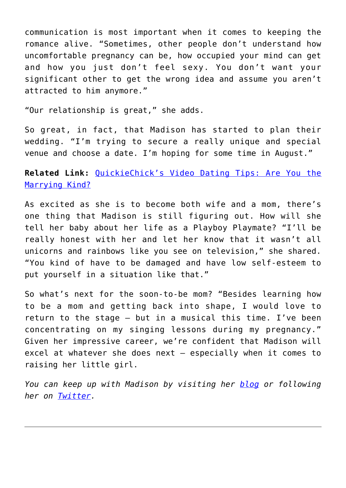communication is most important when it comes to keeping the romance alive. "Sometimes, other people don't understand how uncomfortable pregnancy can be, how occupied your mind can get and how you just don't feel sexy. You don't want your significant other to get the wrong idea and assume you aren't attracted to him anymore."

"Our relationship is great," she adds.

So great, in fact, that Madison has started to plan their wedding. "I'm trying to secure a really unique and special venue and choose a date. I'm hoping for some time in August."

**Related Link:** [QuickieChick's Video Dating Tips: Are You the](http://cupidspulse.com/quickiechick-laurel-house-marriage-worthy/) [Marrying Kind?](http://cupidspulse.com/quickiechick-laurel-house-marriage-worthy/)

As excited as she is to become both wife and a mom, there's one thing that Madison is still figuring out. How will she tell her baby about her life as a Playboy Playmate? "I'll be really honest with her and let her know that it wasn't all unicorns and rainbows like you see on television," she shared. "You kind of have to be damaged and have low self-esteem to put yourself in a situation like that."

So what's next for the soon-to-be mom? "Besides learning how to be a mom and getting back into shape, I would love to return to the stage — but in a musical this time. I've been concentrating on my singing lessons during my pregnancy." Given her impressive career, we're confident that Madison will excel at whatever she does next — especially when it comes to raising her little girl.

*You can keep up with Madison by visiting her [blog](http://www.celebuzz.com/holly-madison/) or following her on [Twitter](https://twitter.com/hollymadison).*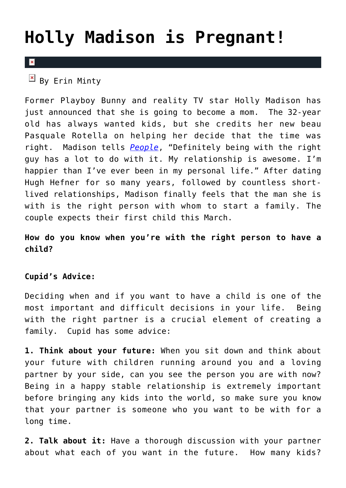## **[Holly Madison is Pregnant!](https://cupidspulse.com/37478/holly-madison-pregnant/)**

### $\mathbf{\mathbf{z}}$

 $\boxed{\times}$  By Erin Minty

Former Playboy Bunny and reality TV star Holly Madison has just announced that she is going to become a mom. The 32-year old has always wanted kids, but she credits her new beau Pasquale Rotella on helping her decide that the time was right. Madison tells *[People](http://celebritybabies.people.com/2012/08/29/holly-madison-pregnant-expecting-first-child/)*, "Definitely being with the right guy has a lot to do with it. My relationship is awesome. I'm happier than I've ever been in my personal life." After dating Hugh Hefner for so many years, followed by countless shortlived relationships, Madison finally feels that the man she is with is the right person with whom to start a family. The couple expects their first child this March.

### **How do you know when you're with the right person to have a child?**

### **Cupid's Advice:**

Deciding when and if you want to have a child is one of the most important and difficult decisions in your life. Being with the right partner is a crucial element of creating a family. Cupid has some advice:

**1. Think about your future:** When you sit down and think about your future with children running around you and a loving partner by your side, can you see the person you are with now? Being in a happy stable relationship is extremely important before bringing any kids into the world, so make sure you know that your partner is someone who you want to be with for a long time.

**2. Talk about it:** Have a thorough discussion with your partner about what each of you want in the future. How many kids?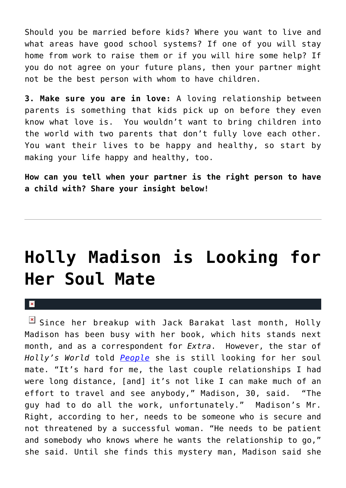Should you be married before kids? Where you want to live and what areas have good school systems? If one of you will stay home from work to raise them or if you will hire some help? If you do not agree on your future plans, then your partner might not be the best person with whom to have children.

**3. Make sure you are in love:** A loving relationship between parents is something that kids pick up on before they even know what love is. You wouldn't want to bring children into the world with two parents that don't fully love each other. You want their lives to be happy and healthy, so start by making your life happy and healthy, too.

**How can you tell when your partner is the right person to have a child with? Share your insight below!**

## **[Holly Madison is Looking for](https://cupidspulse.com/13255/holly-madison-is-looking-for-her-soul-mate/) [Her Soul Mate](https://cupidspulse.com/13255/holly-madison-is-looking-for-her-soul-mate/)**

 $\mathbf{R}$ 

Since her breakup with Jack Barakat last month, Holly Madison has been busy with her book, which hits stands next month, and as a correspondent for *Extra*. However, the star of *Holly's World* told *[People](http://www.people.com/people/article/0,,20477624,00.html)* she is still looking for her soul mate. "It's hard for me, the last couple relationships I had were long distance, [and] it's not like I can make much of an effort to travel and see anybody," Madison, 30, said. "The guy had to do all the work, unfortunately." Madison's Mr. Right, according to her, needs to be someone who is secure and not threatened by a successful woman. "He needs to be patient and somebody who knows where he wants the relationship to go," she said. Until she finds this mystery man, Madison said she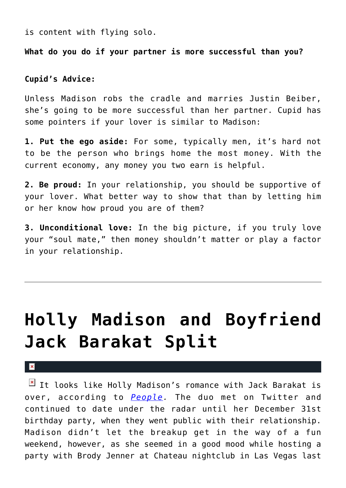is content with flying solo.

**What do you do if your partner is more successful than you?**

**Cupid's Advice:**

Unless Madison robs the cradle and marries Justin Beiber, she's going to be more successful than her partner. Cupid has some pointers if your lover is similar to Madison:

**1. Put the ego aside:** For some, typically men, it's hard not to be the person who brings home the most money. With the current economy, any money you two earn is helpful.

**2. Be proud:** In your relationship, you should be supportive of your lover. What better way to show that than by letting him or her know how proud you are of them?

**3. Unconditional love:** In the big picture, if you truly love your "soul mate," then money shouldn't matter or play a factor in your relationship.

# **[Holly Madison and Boyfriend](https://cupidspulse.com/12827/holly-madison-and-boyfriend-jack-barakat-split/) [Jack Barakat Split](https://cupidspulse.com/12827/holly-madison-and-boyfriend-jack-barakat-split/)**

 $\pmb{\times}$ 

 $\boxed{\times}$  It looks like Holly Madison's romance with Jack Barakat is over, according to *[People.](http://www.people.com/people/article/0,,20475328,00.html)* The duo met on Twitter and continued to date under the radar until her December 31st birthday party, when they went public with their relationship. Madison didn't let the breakup get in the way of a fun weekend, however, as she seemed in a good mood while hosting a party with Brody Jenner at Chateau nightclub in Las Vegas last